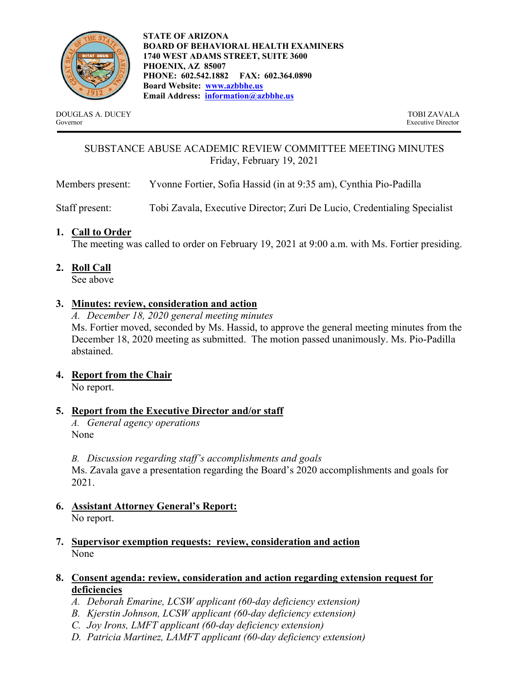

**STATE OF ARIZONA BOARD OF BEHAVIORAL HEALTH EXAMINERS 1740 WEST ADAMS STREET, SUITE 3600 PHOENIX, AZ 85007 PHONE: 602.542.1882 FAX: 602.364.0890 Board Website: www.azbbhe.us Email Address: information@azbbhe.us**

DOUGLAS A. DUCEY TOBI ZAVALA Governor Executive Director

# SUBSTANCE ABUSE ACADEMIC REVIEW COMMITTEE MEETING MINUTES Friday, February 19, 2021

Members present: Yvonne Fortier, Sofia Hassid (in at 9:35 am), Cynthia Pio-Padilla

Staff present: Tobi Zavala, Executive Director; Zuri De Lucio, Credentialing Specialist

# **1. Call to Order**

The meeting was called to order on February 19, 2021 at 9:00 a.m. with Ms. Fortier presiding.

# **2. Roll Call**

See above

# **3. Minutes: review, consideration and action**

*A. December 18, 2020 general meeting minutes*  Ms. Fortier moved, seconded by Ms. Hassid, to approve the general meeting minutes from the December 18, 2020 meeting as submitted. The motion passed unanimously. Ms. Pio-Padilla abstained.

## **4. Report from the Chair**

No report.

# **5. Report from the Executive Director and/or staff**

*A. General agency operations*  None

*B. Discussion regarding staff's accomplishments and goals*  Ms. Zavala gave a presentation regarding the Board's 2020 accomplishments and goals for 2021.

- **6. Assistant Attorney General's Report:**  No report.
- **7. Supervisor exemption requests: review, consideration and action**  None

## **8. Consent agenda: review, consideration and action regarding extension request for deficiencies**

- *A. Deborah Emarine, LCSW applicant (60-day deficiency extension)*
- *B. Kjerstin Johnson, LCSW applicant (60-day deficiency extension)*
- *C. Joy Irons, LMFT applicant (60-day deficiency extension)*
- *D. Patricia Martinez, LAMFT applicant (60-day deficiency extension)*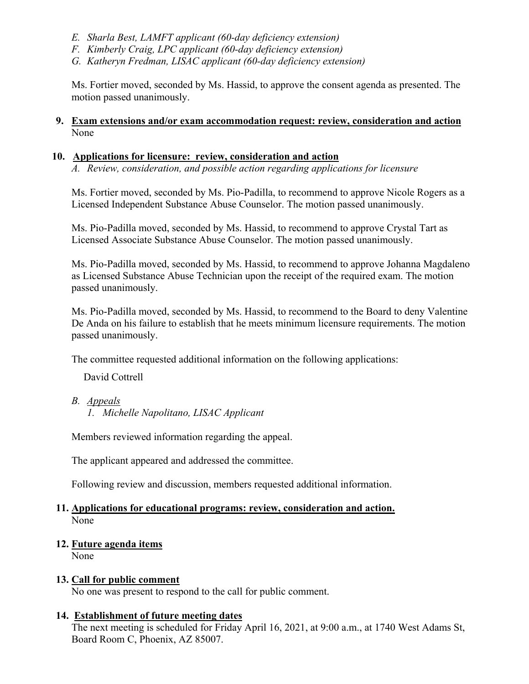- *E. Sharla Best, LAMFT applicant (60-day deficiency extension)*
- *F. Kimberly Craig, LPC applicant (60-day deficiency extension)*
- *G. Katheryn Fredman, LISAC applicant (60-day deficiency extension)*

Ms. Fortier moved, seconded by Ms. Hassid, to approve the consent agenda as presented. The motion passed unanimously.

#### **9. Exam extensions and/or exam accommodation request: review, consideration and action**  None

#### **10. Applications for licensure: review, consideration and action**

*A. Review, consideration, and possible action regarding applications for licensure* 

Ms. Fortier moved, seconded by Ms. Pio-Padilla, to recommend to approve Nicole Rogers as a Licensed Independent Substance Abuse Counselor. The motion passed unanimously.

Ms. Pio-Padilla moved, seconded by Ms. Hassid, to recommend to approve Crystal Tart as Licensed Associate Substance Abuse Counselor. The motion passed unanimously.

Ms. Pio-Padilla moved, seconded by Ms. Hassid, to recommend to approve Johanna Magdaleno as Licensed Substance Abuse Technician upon the receipt of the required exam. The motion passed unanimously.

Ms. Pio-Padilla moved, seconded by Ms. Hassid, to recommend to the Board to deny Valentine De Anda on his failure to establish that he meets minimum licensure requirements. The motion passed unanimously.

The committee requested additional information on the following applications:

David Cottrell

## *B. Appeals*

*1. Michelle Napolitano, LISAC Applicant* 

Members reviewed information regarding the appeal.

The applicant appeared and addressed the committee.

Following review and discussion, members requested additional information.

#### **11. Applications for educational programs: review, consideration and action.**  None

#### **12. Future agenda items**

None

#### **13. Call for public comment**

No one was present to respond to the call for public comment.

#### **14. Establishment of future meeting dates**

The next meeting is scheduled for Friday April 16, 2021, at 9:00 a.m., at 1740 West Adams St, Board Room C, Phoenix, AZ 85007.